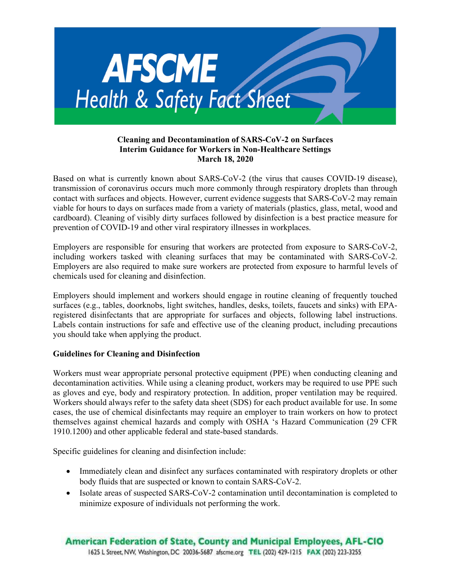

### Cleaning and Decontamination of SARS-CoV-2 on Surfaces Interim Guidance for Workers in Non-Healthcare Settings March 18, 2020

Based on what is currently known about SARS-CoV-2 (the virus that causes COVID-19 disease), transmission of coronavirus occurs much more commonly through respiratory droplets than through contact with surfaces and objects. However, current evidence suggests that SARS-CoV-2 may remain viable for hours to days on surfaces made from a variety of materials (plastics, glass, metal, wood and cardboard). Cleaning of visibly dirty surfaces followed by disinfection is a best practice measure for prevention of COVID-19 and other viral respiratory illnesses in workplaces.

Employers are responsible for ensuring that workers are protected from exposure to SARS-CoV-2, including workers tasked with cleaning surfaces that may be contaminated with SARS-CoV-2. Employers are also required to make sure workers are protected from exposure to harmful levels of chemicals used for cleaning and disinfection.

Employers should implement and workers should engage in routine cleaning of frequently touched surfaces (e.g., tables, doorknobs, light switches, handles, desks, toilets, faucets and sinks) with EPAregistered disinfectants that are appropriate for surfaces and objects, following label instructions. Labels contain instructions for safe and effective use of the cleaning product, including precautions you should take when applying the product.

# Guidelines for Cleaning and Disinfection

Workers must wear appropriate personal protective equipment (PPE) when conducting cleaning and decontamination activities. While using a cleaning product, workers may be required to use PPE such as gloves and eye, body and respiratory protection. In addition, proper ventilation may be required. Workers should always refer to the safety data sheet (SDS) for each product available for use. In some cases, the use of chemical disinfectants may require an employer to train workers on how to protect themselves against chemical hazards and comply with OSHA 's Hazard Communication (29 CFR 1910.1200) and other applicable federal and state-based standards.

Specific guidelines for cleaning and disinfection include:

- Immediately clean and disinfect any surfaces contaminated with respiratory droplets or other body fluids that are suspected or known to contain SARS-CoV-2.
- Isolate areas of suspected SARS-CoV-2 contamination until decontamination is completed to minimize exposure of individuals not performing the work.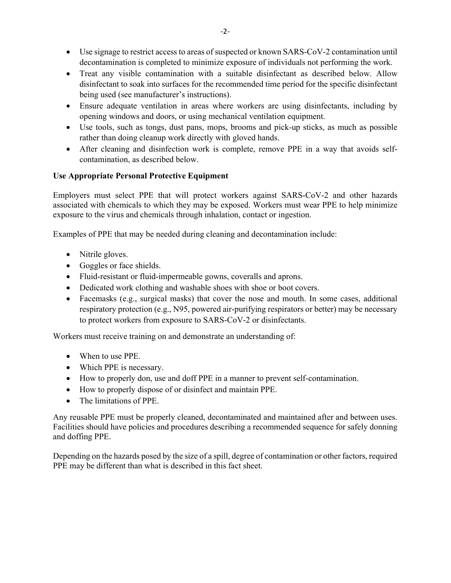- Use signage to restrict access to areas of suspected or known SARS-CoV-2 contamination until decontamination is completed to minimize exposure of individuals not performing the work.
- Treat any visible contamination with a suitable disinfectant as described below. Allow disinfectant to soak into surfaces for the recommended time period for the specific disinfectant being used (see manufacturer's instructions).
- Ensure adequate ventilation in areas where workers are using disinfectants, including by opening windows and doors, or using mechanical ventilation equipment.
- Use tools, such as tongs, dust pans, mops, brooms and pick-up sticks, as much as possible rather than doing cleanup work directly with gloved hands.
- After cleaning and disinfection work is complete, remove PPE in a way that avoids selfcontamination, as described below.

# Use Appropriate Personal Protective Equipment

Employers must select PPE that will protect workers against SARS-CoV-2 and other hazards associated with chemicals to which they may be exposed. Workers must wear PPE to help minimize exposure to the virus and chemicals through inhalation, contact or ingestion.

Examples of PPE that may be needed during cleaning and decontamination include:

- Nitrile gloves.
- Goggles or face shields.
- Fluid-resistant or fluid-impermeable gowns, coveralls and aprons.
- Dedicated work clothing and washable shoes with shoe or boot covers.
- Facemasks (e.g., surgical masks) that cover the nose and mouth. In some cases, additional respiratory protection (e.g., N95, powered air-purifying respirators or better) may be necessary to protect workers from exposure to SARS-CoV-2 or disinfectants.

Workers must receive training on and demonstrate an understanding of:

- When to use PPE.
- Which PPE is necessary.
- How to properly don, use and doff PPE in a manner to prevent self-contamination.
- How to properly dispose of or disinfect and maintain PPE.
- The limitations of PPE.

Any reusable PPE must be properly cleaned, decontaminated and maintained after and between uses. Facilities should have policies and procedures describing a recommended sequence for safely donning and doffing PPE.

Depending on the hazards posed by the size of a spill, degree of contamination or other factors, required PPE may be different than what is described in this fact sheet.